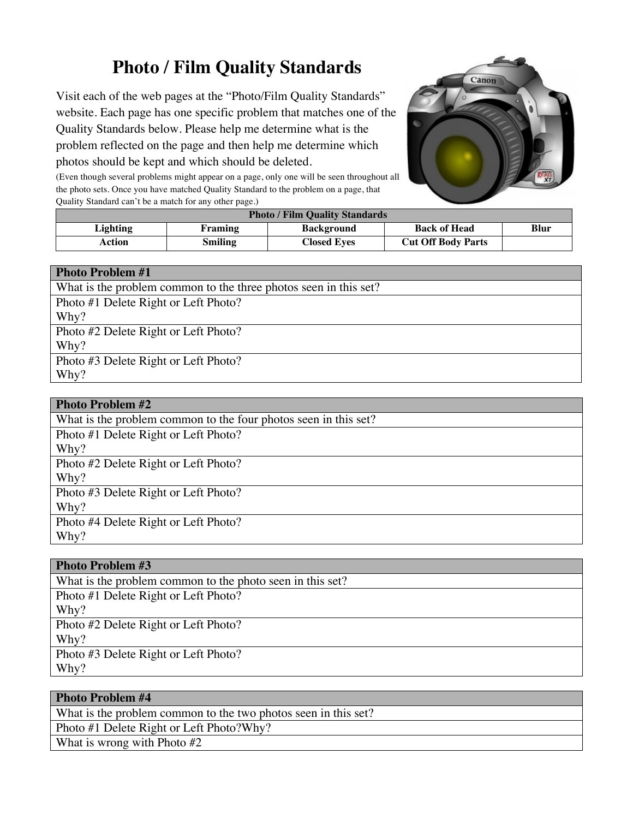# **Photo / Film Quality Standards**

Visit each of the web pages at the "Photo/Film Quality Standards" website. Each page has one specific problem that matches one of the Quality Standards below. Please help me determine what is the problem reflected on the page and then help me determine which photos should be kept and which should be deleted.



(Even though several problems might appear on a page, only one will be seen throughout all the photo sets. Once you have matched Quality Standard to the problem on a page, that Quality Standard can't be a match for any other page.)

| <b>Photo / Film Quality Standards</b> |                |                    |                           |      |
|---------------------------------------|----------------|--------------------|---------------------------|------|
| Lighting                              | Framing        | <b>Background</b>  | <b>Back of Head</b>       | Blur |
| Action                                | <b>Smiling</b> | <b>Closed Eves</b> | <b>Cut Off Body Parts</b> |      |

#### **Photo Problem #1**

| What is the problem common to the three photos seen in this set? |
|------------------------------------------------------------------|
| Photo #1 Delete Right or Left Photo?                             |
| Why?                                                             |
| Photo #2 Delete Right or Left Photo?                             |
| Why?                                                             |
| Photo #3 Delete Right or Left Photo?                             |
| Why?                                                             |
|                                                                  |

| <b>Photo Problem #2</b>                                         |  |
|-----------------------------------------------------------------|--|
| What is the problem common to the four photos seen in this set? |  |
| Photo #1 Delete Right or Left Photo?                            |  |
| Why?                                                            |  |
| Photo #2 Delete Right or Left Photo?                            |  |
| Why?                                                            |  |
| Photo #3 Delete Right or Left Photo?                            |  |
| Why?                                                            |  |
| Photo #4 Delete Right or Left Photo?                            |  |
| Why?                                                            |  |

#### **Photo Problem #3**

What is the problem common to the photo seen in this set? Photo #1 Delete Right or Left Photo? Why? Photo #2 Delete Right or Left Photo? Why? Photo #3 Delete Right or Left Photo? Why?

| <b>Photo Problem #4</b>                                        |
|----------------------------------------------------------------|
| What is the problem common to the two photos seen in this set? |
| Photo #1 Delete Right or Left Photo?Why?                       |
| What is wrong with Photo $#2$                                  |